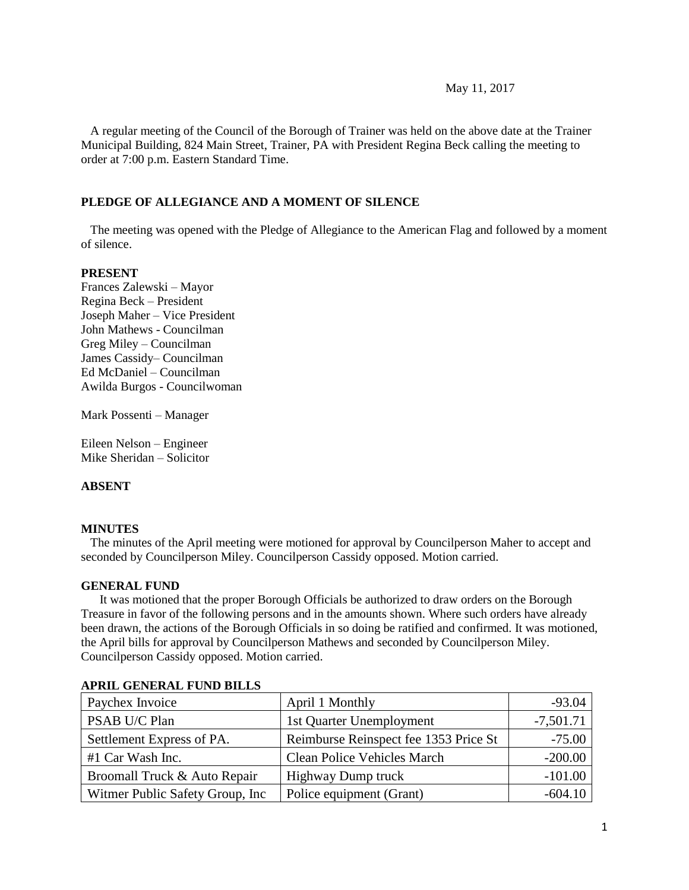#### May 11, 2017

 A regular meeting of the Council of the Borough of Trainer was held on the above date at the Trainer Municipal Building, 824 Main Street, Trainer, PA with President Regina Beck calling the meeting to order at 7:00 p.m. Eastern Standard Time.

### **PLEDGE OF ALLEGIANCE AND A MOMENT OF SILENCE**

 The meeting was opened with the Pledge of Allegiance to the American Flag and followed by a moment of silence.

#### **PRESENT**

Frances Zalewski – Mayor Regina Beck – President Joseph Maher – Vice President John Mathews - Councilman Greg Miley – Councilman James Cassidy– Councilman Ed McDaniel – Councilman Awilda Burgos - Councilwoman

Mark Possenti – Manager

Eileen Nelson – Engineer Mike Sheridan – Solicitor

#### **ABSENT**

#### **MINUTES**

The minutes of the April meeting were motioned for approval by Councilperson Maher to accept and seconded by Councilperson Miley. Councilperson Cassidy opposed. Motion carried.

#### **GENERAL FUND**

 It was motioned that the proper Borough Officials be authorized to draw orders on the Borough Treasure in favor of the following persons and in the amounts shown. Where such orders have already been drawn, the actions of the Borough Officials in so doing be ratified and confirmed. It was motioned, the April bills for approval by Councilperson Mathews and seconded by Councilperson Miley. Councilperson Cassidy opposed. Motion carried.

| Paychex Invoice                  | April 1 Monthly                       | $-93.04$    |
|----------------------------------|---------------------------------------|-------------|
| PSAB U/C Plan                    | 1st Quarter Unemployment              | $-7,501.71$ |
| Settlement Express of PA.        | Reimburse Reinspect fee 1353 Price St | $-75.00$    |
| #1 Car Wash Inc.                 | <b>Clean Police Vehicles March</b>    | $-200.00$   |
| Broomall Truck & Auto Repair     | <b>Highway Dump truck</b>             | $-101.00$   |
| Witmer Public Safety Group, Inc. | Police equipment (Grant)              | $-604.10$   |

#### **APRIL GENERAL FUND BILLS**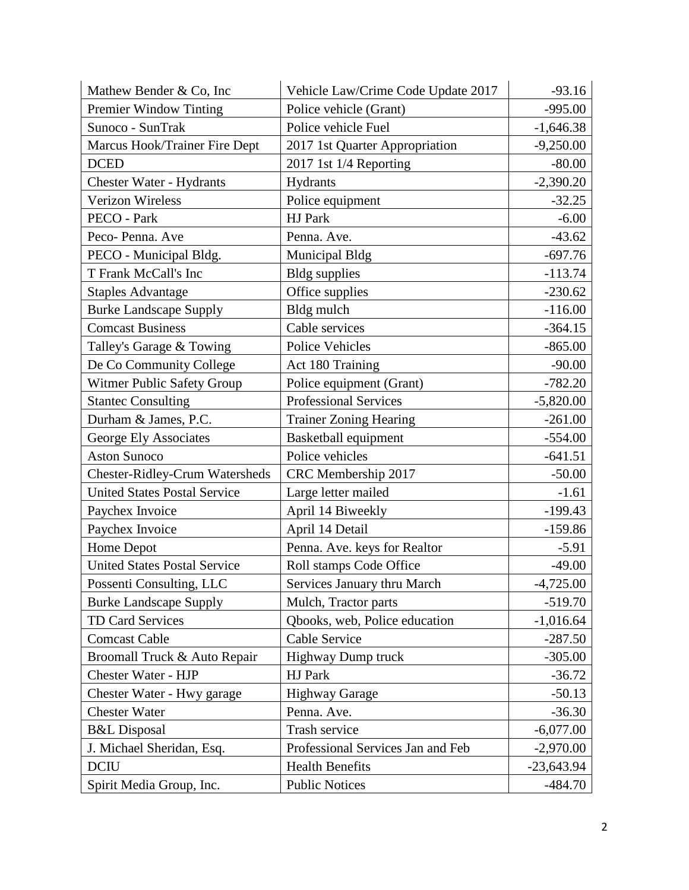| Mathew Bender & Co, Inc               | Vehicle Law/Crime Code Update 2017 | $-93.16$     |
|---------------------------------------|------------------------------------|--------------|
| Premier Window Tinting                | Police vehicle (Grant)             | $-995.00$    |
| Sunoco - SunTrak                      | Police vehicle Fuel                | $-1,646.38$  |
| Marcus Hook/Trainer Fire Dept         | 2017 1st Quarter Appropriation     | $-9,250.00$  |
| <b>DCED</b>                           | 2017 1st 1/4 Reporting             | $-80.00$     |
| Chester Water - Hydrants              | <b>Hydrants</b>                    | $-2,390.20$  |
| Verizon Wireless                      | Police equipment                   | $-32.25$     |
| PECO - Park                           | HJ Park                            | $-6.00$      |
| Peco-Penna. Ave                       | Penna. Ave.                        | $-43.62$     |
| PECO - Municipal Bldg.                | <b>Municipal Bldg</b>              | $-697.76$    |
| T Frank McCall's Inc                  | <b>Bldg</b> supplies               | $-113.74$    |
| <b>Staples Advantage</b>              | Office supplies                    | $-230.62$    |
| <b>Burke Landscape Supply</b>         | Bldg mulch                         | $-116.00$    |
| <b>Comcast Business</b>               | Cable services                     | $-364.15$    |
| Talley's Garage & Towing              | Police Vehicles                    | $-865.00$    |
| De Co Community College               | Act 180 Training                   | $-90.00$     |
| Witmer Public Safety Group            | Police equipment (Grant)           | $-782.20$    |
| <b>Stantec Consulting</b>             | <b>Professional Services</b>       | $-5,820.00$  |
| Durham & James, P.C.                  | <b>Trainer Zoning Hearing</b>      | $-261.00$    |
| George Ely Associates                 | Basketball equipment               | $-554.00$    |
| <b>Aston Sunoco</b>                   | Police vehicles                    | $-641.51$    |
| <b>Chester-Ridley-Crum Watersheds</b> | CRC Membership 2017                | $-50.00$     |
| <b>United States Postal Service</b>   | Large letter mailed                | $-1.61$      |
| Paychex Invoice                       | April 14 Biweekly                  | $-199.43$    |
| Paychex Invoice                       | April 14 Detail                    | $-159.86$    |
| Home Depot                            | Penna. Ave. keys for Realtor       | $-5.91$      |
| <b>United States Postal Service</b>   | Roll stamps Code Office            | $-49.00$     |
| Possenti Consulting, LLC              | Services January thru March        | 4,725.00     |
| <b>Burke Landscape Supply</b>         | Mulch, Tractor parts               | $-519.70$    |
| TD Card Services                      | Qbooks, web, Police education      | $-1,016.64$  |
| <b>Comcast Cable</b>                  | Cable Service                      | $-287.50$    |
| Broomall Truck & Auto Repair          | Highway Dump truck                 | $-305.00$    |
| <b>Chester Water - HJP</b>            | HJ Park                            | $-36.72$     |
| Chester Water - Hwy garage            | <b>Highway Garage</b>              | $-50.13$     |
| <b>Chester Water</b>                  | Penna. Ave.                        | $-36.30$     |
| <b>B&amp;L</b> Disposal               | Trash service                      | $-6,077.00$  |
| J. Michael Sheridan, Esq.             | Professional Services Jan and Feb  | $-2,970.00$  |
| <b>DCIU</b>                           | <b>Health Benefits</b>             | $-23,643.94$ |
| Spirit Media Group, Inc.              | <b>Public Notices</b>              | $-484.70$    |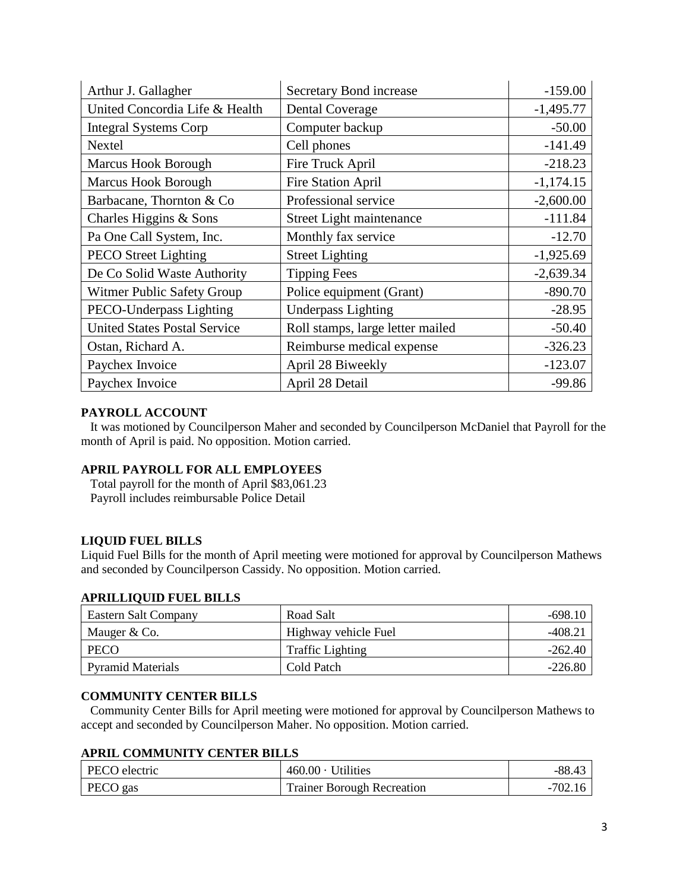| Arthur J. Gallagher                 | Secretary Bond increase          | $-159.00$   |
|-------------------------------------|----------------------------------|-------------|
| United Concordia Life & Health      | <b>Dental Coverage</b>           | $-1,495.77$ |
| <b>Integral Systems Corp</b>        | Computer backup                  | $-50.00$    |
| Nextel                              | Cell phones                      | $-141.49$   |
| <b>Marcus Hook Borough</b>          | Fire Truck April                 | $-218.23$   |
| <b>Marcus Hook Borough</b>          | <b>Fire Station April</b>        | $-1,174.15$ |
| Barbacane, Thornton & Co            | Professional service             | $-2,600.00$ |
| Charles Higgins & Sons              | Street Light maintenance         | $-111.84$   |
| Pa One Call System, Inc.            | Monthly fax service              | $-12.70$    |
| <b>PECO</b> Street Lighting         | <b>Street Lighting</b>           | $-1,925.69$ |
| De Co Solid Waste Authority         | <b>Tipping Fees</b>              | $-2,639.34$ |
| Witmer Public Safety Group          | Police equipment (Grant)         | $-890.70$   |
| PECO-Underpass Lighting             | <b>Underpass Lighting</b>        | $-28.95$    |
| <b>United States Postal Service</b> | Roll stamps, large letter mailed | $-50.40$    |
| Ostan, Richard A.                   | Reimburse medical expense        | $-326.23$   |
| Paychex Invoice                     | April 28 Biweekly                | $-123.07$   |
| Paychex Invoice                     | April 28 Detail                  | $-99.86$    |

# **PAYROLL ACCOUNT**

 It was motioned by Councilperson Maher and seconded by Councilperson McDaniel that Payroll for the month of April is paid. No opposition. Motion carried.

# **APRIL PAYROLL FOR ALL EMPLOYEES**

 Total payroll for the month of April \$83,061.23 Payroll includes reimbursable Police Detail

# **LIQUID FUEL BILLS**

Liquid Fuel Bills for the month of April meeting were motioned for approval by Councilperson Mathews and seconded by Councilperson Cassidy. No opposition. Motion carried.

#### **APRILLIQUID FUEL BILLS**

| Eastern Salt Company     | Road Salt               | $-698.10$ |
|--------------------------|-------------------------|-----------|
| Mauger & Co.             | Highway vehicle Fuel    | -408.21   |
| <b>PECO</b>              | <b>Traffic Lighting</b> | $-262.40$ |
| <b>Pyramid Materials</b> | Cold Patch              | $-226.80$ |

### **COMMUNITY CENTER BILLS**

 Community Center Bills for April meeting were motioned for approval by Councilperson Mathews to accept and seconded by Councilperson Maher. No opposition. Motion carried.

#### **APRIL COMMUNITY CENTER BILLS**

| PECO electric | $460.00 \cdot$ Utilities          | $-88.43$  |
|---------------|-----------------------------------|-----------|
| PECO gas      | <b>Trainer Borough Recreation</b> | $-702.16$ |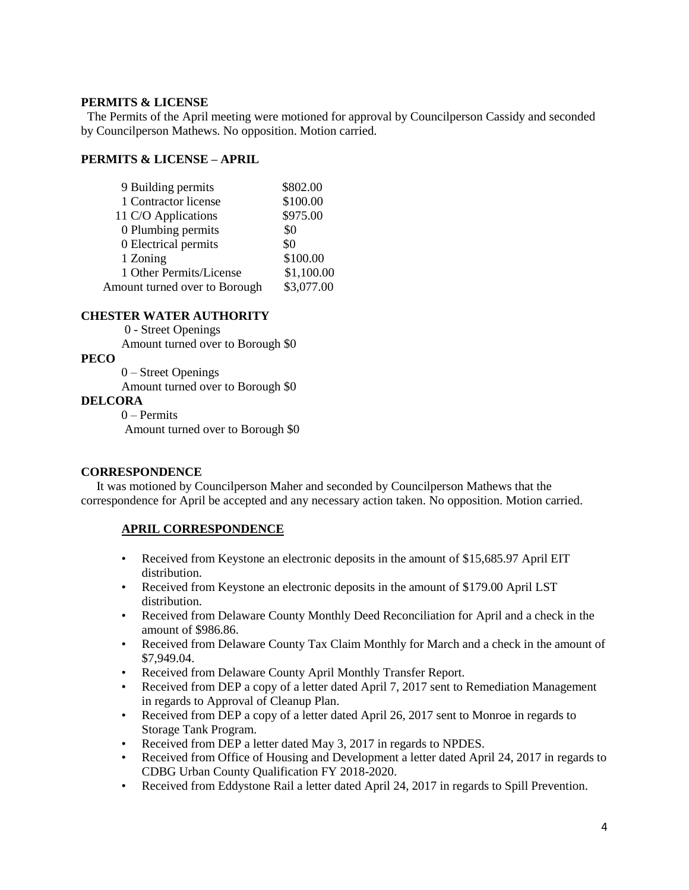# **PERMITS & LICENSE**

The Permits of the April meeting were motioned for approval by Councilperson Cassidy and seconded by Councilperson Mathews. No opposition. Motion carried.

# **PERMITS & LICENSE – APRIL**

| 9 Building permits            | \$802.00   |
|-------------------------------|------------|
| 1 Contractor license          | \$100.00   |
| 11 C/O Applications           | \$975.00   |
| 0 Plumbing permits            | \$0        |
| 0 Electrical permits          | \$0        |
| 1 Zoning                      | \$100.00   |
| 1 Other Permits/License       | \$1,100.00 |
| Amount turned over to Borough | \$3,077.00 |

# **CHESTER WATER AUTHORITY**

0 - Street Openings Amount turned over to Borough \$0

# **PECO**

0 – Street Openings

Amount turned over to Borough \$0

# **DELCORA**

0 – Permits Amount turned over to Borough \$0

# **CORRESPONDENCE**

 It was motioned by Councilperson Maher and seconded by Councilperson Mathews that the correspondence for April be accepted and any necessary action taken. No opposition. Motion carried.

# **APRIL CORRESPONDENCE**

- Received from Keystone an electronic deposits in the amount of \$15,685.97 April EIT distribution.
- Received from Keystone an electronic deposits in the amount of \$179.00 April LST distribution.
- Received from Delaware County Monthly Deed Reconciliation for April and a check in the amount of \$986.86.
- Received from Delaware County Tax Claim Monthly for March and a check in the amount of \$7,949.04.
- Received from Delaware County April Monthly Transfer Report.
- Received from DEP a copy of a letter dated April 7, 2017 sent to Remediation Management in regards to Approval of Cleanup Plan.
- Received from DEP a copy of a letter dated April 26, 2017 sent to Monroe in regards to Storage Tank Program.
- Received from DEP a letter dated May 3, 2017 in regards to NPDES.
- Received from Office of Housing and Development a letter dated April 24, 2017 in regards to CDBG Urban County Qualification FY 2018-2020.
- Received from Eddystone Rail a letter dated April 24, 2017 in regards to Spill Prevention.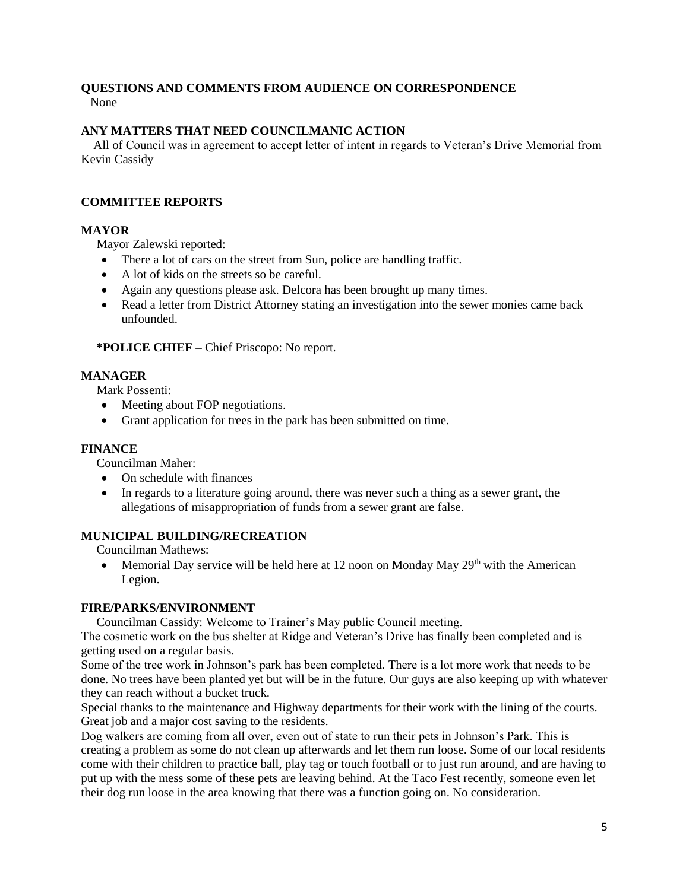#### **QUESTIONS AND COMMENTS FROM AUDIENCE ON CORRESPONDENCE** None

# **ANY MATTERS THAT NEED COUNCILMANIC ACTION**

All of Council was in agreement to accept letter of intent in regards to Veteran's Drive Memorial from Kevin Cassidy

# **COMMITTEE REPORTS**

# **MAYOR**

Mayor Zalewski reported:

- There a lot of cars on the street from Sun, police are handling traffic.
- A lot of kids on the streets so be careful.
- Again any questions please ask. Delcora has been brought up many times.
- Read a letter from District Attorney stating an investigation into the sewer monies came back unfounded.

 **\*POLICE CHIEF –** Chief Priscopo: No report.

# **MANAGER**

Mark Possenti:

- Meeting about FOP negotiations.
- Grant application for trees in the park has been submitted on time.

# **FINANCE**

Councilman Maher:

- On schedule with finances
- In regards to a literature going around, there was never such a thing as a sewer grant, the allegations of misappropriation of funds from a sewer grant are false.

# **MUNICIPAL BUILDING/RECREATION**

Councilman Mathews:

• Memorial Day service will be held here at 12 noon on Monday May  $29<sup>th</sup>$  with the American Legion.

# **FIRE/PARKS/ENVIRONMENT**

Councilman Cassidy: Welcome to Trainer's May public Council meeting.

The cosmetic work on the bus shelter at Ridge and Veteran's Drive has finally been completed and is getting used on a regular basis.

Some of the tree work in Johnson's park has been completed. There is a lot more work that needs to be done. No trees have been planted yet but will be in the future. Our guys are also keeping up with whatever they can reach without a bucket truck.

Special thanks to the maintenance and Highway departments for their work with the lining of the courts. Great job and a major cost saving to the residents.

Dog walkers are coming from all over, even out of state to run their pets in Johnson's Park. This is creating a problem as some do not clean up afterwards and let them run loose. Some of our local residents come with their children to practice ball, play tag or touch football or to just run around, and are having to put up with the mess some of these pets are leaving behind. At the Taco Fest recently, someone even let their dog run loose in the area knowing that there was a function going on. No consideration.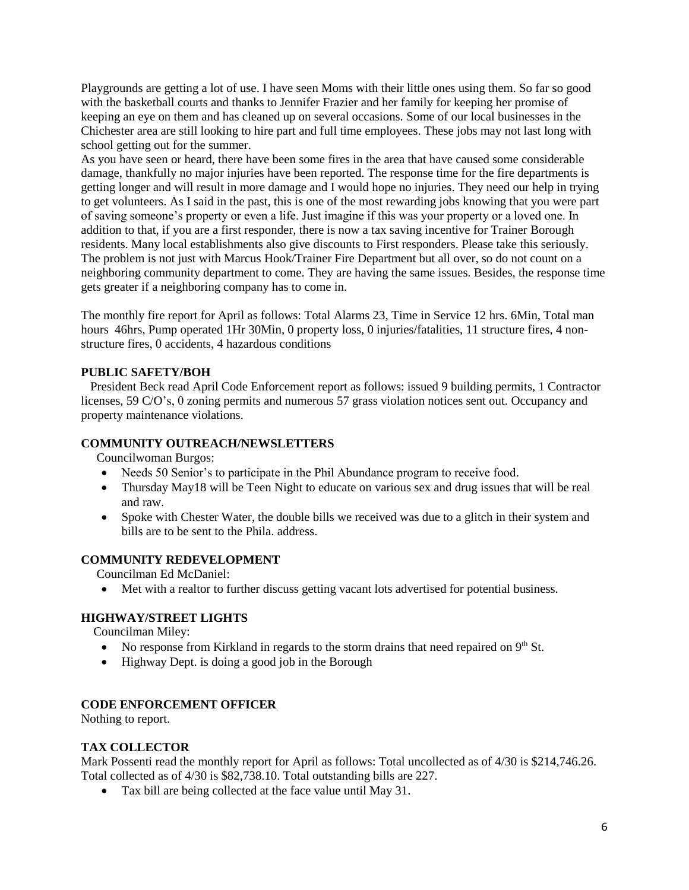Playgrounds are getting a lot of use. I have seen Moms with their little ones using them. So far so good with the basketball courts and thanks to Jennifer Frazier and her family for keeping her promise of keeping an eye on them and has cleaned up on several occasions. Some of our local businesses in the Chichester area are still looking to hire part and full time employees. These jobs may not last long with school getting out for the summer.

As you have seen or heard, there have been some fires in the area that have caused some considerable damage, thankfully no major injuries have been reported. The response time for the fire departments is getting longer and will result in more damage and I would hope no injuries. They need our help in trying to get volunteers. As I said in the past, this is one of the most rewarding jobs knowing that you were part of saving someone's property or even a life. Just imagine if this was your property or a loved one. In addition to that, if you are a first responder, there is now a tax saving incentive for Trainer Borough residents. Many local establishments also give discounts to First responders. Please take this seriously. The problem is not just with Marcus Hook/Trainer Fire Department but all over, so do not count on a neighboring community department to come. They are having the same issues. Besides, the response time gets greater if a neighboring company has to come in.

The monthly fire report for April as follows: Total Alarms 23, Time in Service 12 hrs. 6Min, Total man hours 46hrs, Pump operated 1Hr 30Min, 0 property loss, 0 injuries/fatalities, 11 structure fires, 4 nonstructure fires, 0 accidents, 4 hazardous conditions

# **PUBLIC SAFETY/BOH**

 President Beck read April Code Enforcement report as follows: issued 9 building permits, 1 Contractor licenses, 59 C/O's, 0 zoning permits and numerous 57 grass violation notices sent out. Occupancy and property maintenance violations.

# **COMMUNITY OUTREACH/NEWSLETTERS**

Councilwoman Burgos:

- Needs 50 Senior's to participate in the Phil Abundance program to receive food.
- Thursday May18 will be Teen Night to educate on various sex and drug issues that will be real and raw.
- Spoke with Chester Water, the double bills we received was due to a glitch in their system and bills are to be sent to the Phila. address.

# **COMMUNITY REDEVELOPMENT**

Councilman Ed McDaniel:

Met with a realtor to further discuss getting vacant lots advertised for potential business.

# **HIGHWAY/STREET LIGHTS**

Councilman Miley:

- $\bullet$  No response from Kirkland in regards to the storm drains that need repaired on  $9<sup>th</sup>$  St.
- Highway Dept. is doing a good job in the Borough

# **CODE ENFORCEMENT OFFICER**

Nothing to report.

# **TAX COLLECTOR**

Mark Possenti read the monthly report for April as follows: Total uncollected as of 4/30 is \$214,746.26. Total collected as of 4/30 is \$82,738.10. Total outstanding bills are 227.

Tax bill are being collected at the face value until May 31.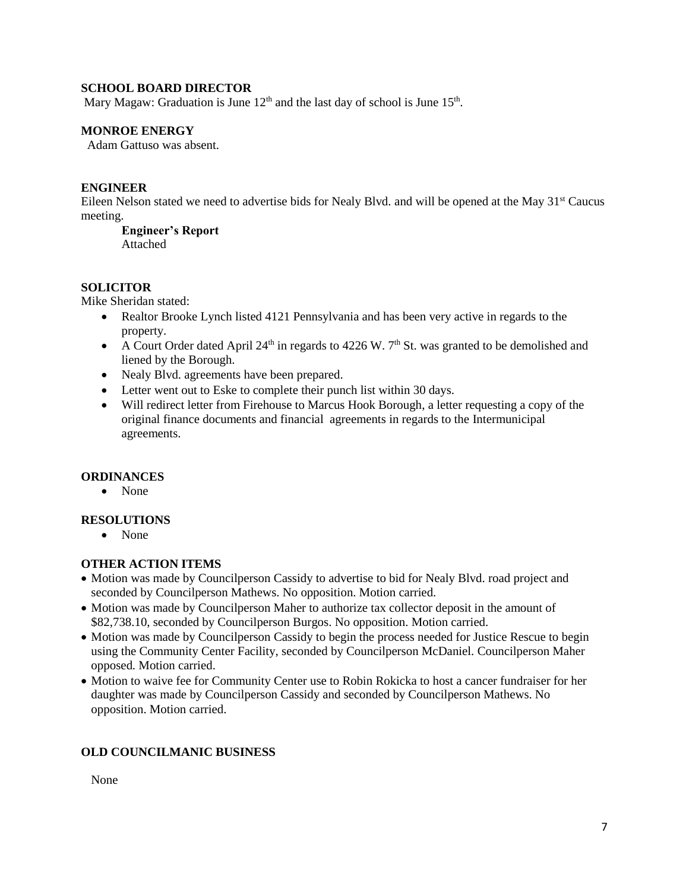# **SCHOOL BOARD DIRECTOR**

Mary Magaw: Graduation is June  $12<sup>th</sup>$  and the last day of school is June  $15<sup>th</sup>$ .

# **MONROE ENERGY**

Adam Gattuso was absent.

### **ENGINEER**

Eileen Nelson stated we need to advertise bids for Nealy Blvd. and will be opened at the May 31<sup>st</sup> Caucus meeting.

# **Engineer's Report**

Attached

# **SOLICITOR**

Mike Sheridan stated:

- Realtor Brooke Lynch listed 4121 Pennsylvania and has been very active in regards to the property.
- A Court Order dated April  $24<sup>th</sup>$  in regards to 4226 W. 7<sup>th</sup> St. was granted to be demolished and liened by the Borough.
- Nealy Blvd. agreements have been prepared.
- Letter went out to Eske to complete their punch list within 30 days.
- Will redirect letter from Firehouse to Marcus Hook Borough, a letter requesting a copy of the original finance documents and financial agreements in regards to the Intermunicipal agreements.

# **ORDINANCES**

• None

# **RESOLUTIONS**

None

# **OTHER ACTION ITEMS**

- Motion was made by Councilperson Cassidy to advertise to bid for Nealy Blvd. road project and seconded by Councilperson Mathews. No opposition. Motion carried.
- Motion was made by Councilperson Maher to authorize tax collector deposit in the amount of \$82,738.10, seconded by Councilperson Burgos. No opposition. Motion carried.
- Motion was made by Councilperson Cassidy to begin the process needed for Justice Rescue to begin using the Community Center Facility, seconded by Councilperson McDaniel. Councilperson Maher opposed. Motion carried.
- Motion to waive fee for Community Center use to Robin Rokicka to host a cancer fundraiser for her daughter was made by Councilperson Cassidy and seconded by Councilperson Mathews. No opposition. Motion carried.

# **OLD COUNCILMANIC BUSINESS**

None